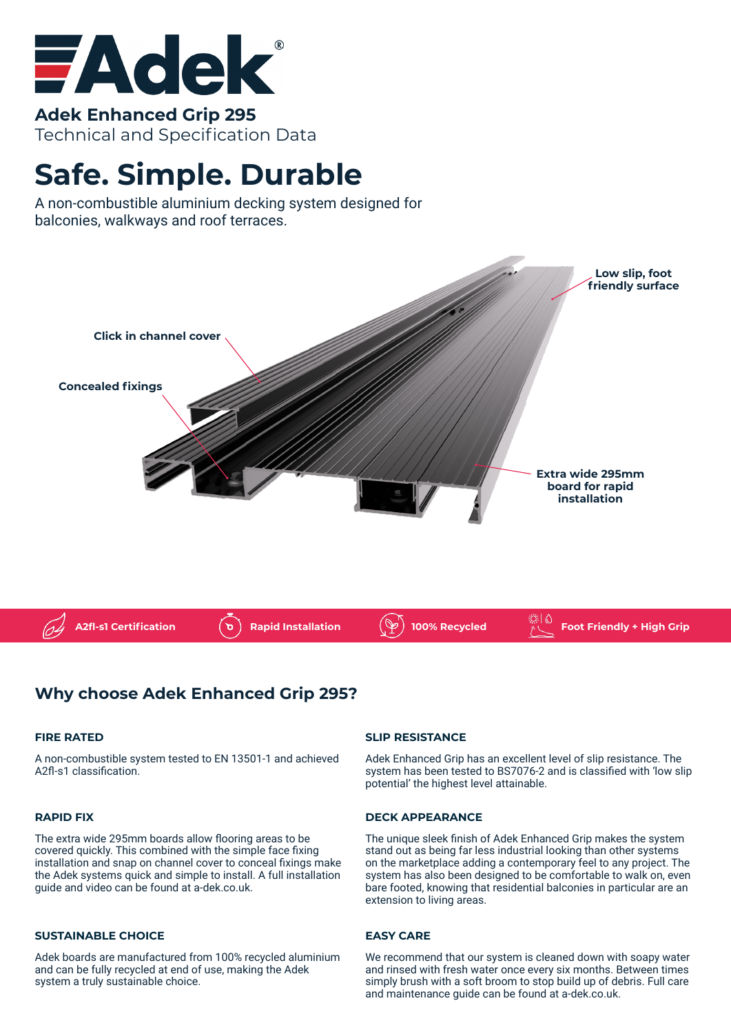

**Adek Enhanced Grip 295** Technical and Specification Data

# **Safe. Simple. Durable**

A non-combustible aluminium decking system designed for balconies, walkways and roof terraces.



## **Why choose Adek Enhanced Grip 295?**

#### **FIRE RATED**

A non-combustible system tested to EN 13501-1 and achieved A2fl-s1 classification.

#### **RAPID FIX**

The extra wide 295mm boards allow flooring areas to be covered quickly. This combined with the simple face fixing installation and snap on channel cover to conceal fixings make the Adek systems quick and simple to install. A full installation guide and video can be found at a-dek.co.uk.

#### **SUSTAINABLE CHOICE**

Adek boards are manufactured from 100% recycled aluminium and can be fully recycled at end of use, making the Adek system a truly sustainable choice.

#### **SLIP RESISTANCE**

Adek Enhanced Grip has an excellent level of slip resistance. The system has been tested to BS7076-2 and is classified with 'low slip potential' the highest level attainable.

#### **DECK APPEARANCE**

The unique sleek finish of Adek Enhanced Grip makes the system stand out as being far less industrial looking than other systems on the marketplace adding a contemporary feel to any project. The system has also been designed to be comfortable to walk on, even bare footed, knowing that residential balconies in particular are an extension to living areas.

#### **EASY CARE**

We recommend that our system is cleaned down with soapy water and rinsed with fresh water once every six months. Between times simply brush with a soft broom to stop build up of debris. Full care and maintenance guide can be found at a-dek.co.uk.